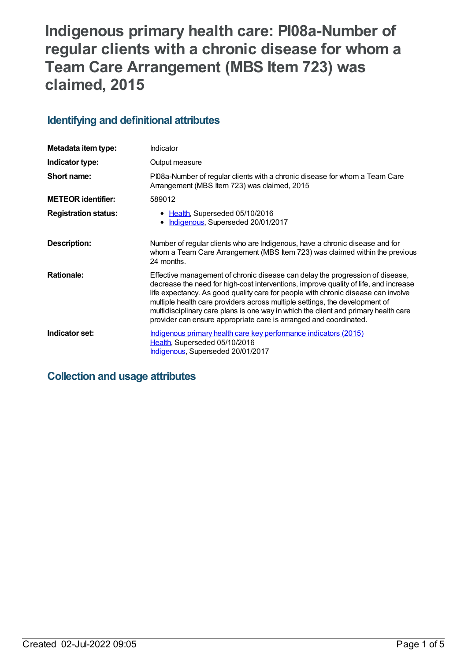# **Indigenous primary health care: PI08a-Number of regular clients with a chronic disease for whom a Team Care Arrangement (MBS Item 723) was claimed, 2015**

## **Identifying and definitional attributes**

| Metadata item type:         | Indicator                                                                                                                                                                                                                                                                                                                                                                                                                                                                                             |
|-----------------------------|-------------------------------------------------------------------------------------------------------------------------------------------------------------------------------------------------------------------------------------------------------------------------------------------------------------------------------------------------------------------------------------------------------------------------------------------------------------------------------------------------------|
| Indicator type:             | Output measure                                                                                                                                                                                                                                                                                                                                                                                                                                                                                        |
| Short name:                 | PI08a-Number of regular clients with a chronic disease for whom a Team Care<br>Arrangement (MBS Item 723) was claimed, 2015                                                                                                                                                                                                                                                                                                                                                                           |
| <b>METEOR identifier:</b>   | 589012                                                                                                                                                                                                                                                                                                                                                                                                                                                                                                |
| <b>Registration status:</b> | • Health, Superseded 05/10/2016<br>Indigenous, Superseded 20/01/2017                                                                                                                                                                                                                                                                                                                                                                                                                                  |
| Description:                | Number of regular clients who are Indigenous, have a chronic disease and for<br>whom a Team Care Arrangement (MBS Item 723) was claimed within the previous<br>24 months.                                                                                                                                                                                                                                                                                                                             |
| <b>Rationale:</b>           | Effective management of chronic disease can delay the progression of disease,<br>decrease the need for high-cost interventions, improve quality of life, and increase<br>life expectancy. As good quality care for people with chronic disease can involve<br>multiple health care providers across multiple settings, the development of<br>multidisciplinary care plans is one way in which the client and primary health care<br>provider can ensure appropriate care is arranged and coordinated. |
| Indicator set:              | <u>Indigenous primary health care key performance indicators (2015)</u><br>Health, Superseded 05/10/2016<br>Indigenous, Superseded 20/01/2017                                                                                                                                                                                                                                                                                                                                                         |

## **Collection and usage attributes**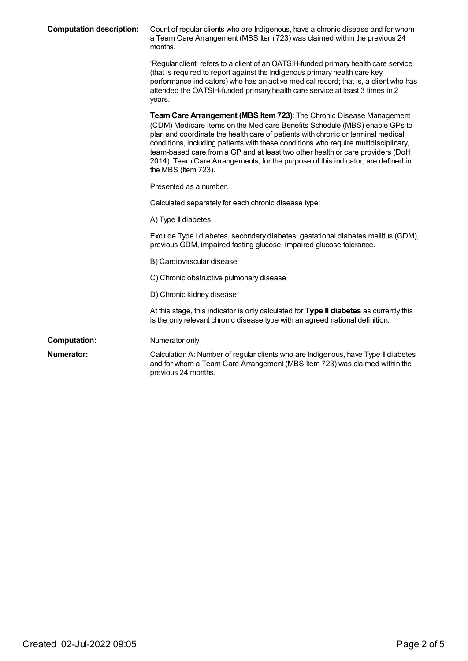| <b>Computation description:</b> | Count of regular clients who are Indigenous, have a chronic disease and for whom<br>a Team Care Arrangement (MBS Item 723) was claimed within the previous 24<br>months.                                                                                                                                                                                                                                                                                                                                                   |
|---------------------------------|----------------------------------------------------------------------------------------------------------------------------------------------------------------------------------------------------------------------------------------------------------------------------------------------------------------------------------------------------------------------------------------------------------------------------------------------------------------------------------------------------------------------------|
|                                 | 'Regular client' refers to a client of an OATSIH-funded primary health care service<br>(that is required to report against the Indigenous primary health care key<br>performance indicators) who has an active medical record; that is, a client who has<br>attended the OATSIH-funded primary health care service at least 3 times in 2<br>years.                                                                                                                                                                         |
|                                 | Team Care Arrangement (MBS Item 723): The Chronic Disease Management<br>(CDM) Medicare items on the Medicare Benefits Schedule (MBS) enable GPs to<br>plan and coordinate the health care of patients with chronic or terminal medical<br>conditions, including patients with these conditions who require multidisciplinary,<br>team-based care from a GP and at least two other health or care providers (DoH<br>2014). Team Care Arrangements, for the purpose of this indicator, are defined in<br>the MBS (Item 723). |
|                                 | Presented as a number.                                                                                                                                                                                                                                                                                                                                                                                                                                                                                                     |
|                                 | Calculated separately for each chronic disease type:                                                                                                                                                                                                                                                                                                                                                                                                                                                                       |
|                                 | A) Type II diabetes                                                                                                                                                                                                                                                                                                                                                                                                                                                                                                        |
|                                 | Exclude Type I diabetes, secondary diabetes, gestational diabetes mellitus (GDM),<br>previous GDM, impaired fasting glucose, impaired glucose tolerance.                                                                                                                                                                                                                                                                                                                                                                   |
|                                 | B) Cardiovascular disease                                                                                                                                                                                                                                                                                                                                                                                                                                                                                                  |
|                                 | C) Chronic obstructive pulmonary disease                                                                                                                                                                                                                                                                                                                                                                                                                                                                                   |
|                                 | D) Chronic kidney disease                                                                                                                                                                                                                                                                                                                                                                                                                                                                                                  |
|                                 | At this stage, this indicator is only calculated for Type II diabetes as currently this<br>is the only relevant chronic disease type with an agreed national definition.                                                                                                                                                                                                                                                                                                                                                   |
| <b>Computation:</b>             | Numerator only                                                                                                                                                                                                                                                                                                                                                                                                                                                                                                             |
| Numerator:                      | Calculation A: Number of regular clients who are Indigenous, have Type II diabetes<br>and for whom a Team Care Arrangement (MBS Item 723) was claimed within the<br>previous 24 months.                                                                                                                                                                                                                                                                                                                                    |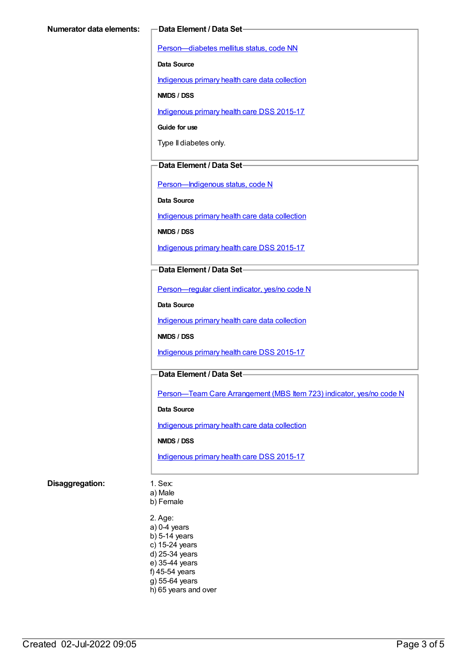[Person—diabetes](https://meteor.aihw.gov.au/content/270194) mellitus status, code NN

**Data Source**

[Indigenous](https://meteor.aihw.gov.au/content/430643) primary health care data collection

**NMDS / DSS**

[Indigenous](https://meteor.aihw.gov.au/content/585036) primary health care DSS 2015-17

**Guide for use**

Type II diabetes only.

#### **Data Element / Data Set**

[Person—Indigenous](https://meteor.aihw.gov.au/content/291036) status, code N

**Data Source**

[Indigenous](https://meteor.aihw.gov.au/content/430643) primary health care data collection

**NMDS / DSS**

[Indigenous](https://meteor.aihw.gov.au/content/585036) primary health care DSS 2015-17

#### **Data Element / Data Set**

[Person—regular](https://meteor.aihw.gov.au/content/436639) client indicator, yes/no code N

**Data Source**

[Indigenous](https://meteor.aihw.gov.au/content/430643) primary health care data collection

**NMDS / DSS**

[Indigenous](https://meteor.aihw.gov.au/content/585036) primary health care DSS 2015-17

### **Data Element / Data Set**

[Person—Team](https://meteor.aihw.gov.au/content/504991) Care Arrangement (MBS Item 723) indicator, yes/no code N

**Data Source**

[Indigenous](https://meteor.aihw.gov.au/content/430643) primary health care data collection

**NMDS / DSS**

[Indigenous](https://meteor.aihw.gov.au/content/585036) primary health care DSS 2015-17

#### **Disaggregation:** 1. Sex:

a) Male

b) Female

2. Age: a) 0-4 years b) 5-14 years c) 15-24 years d) 25-34 years e) 35-44 years f) 45-54 years g) 55-64 years h) 65 years and over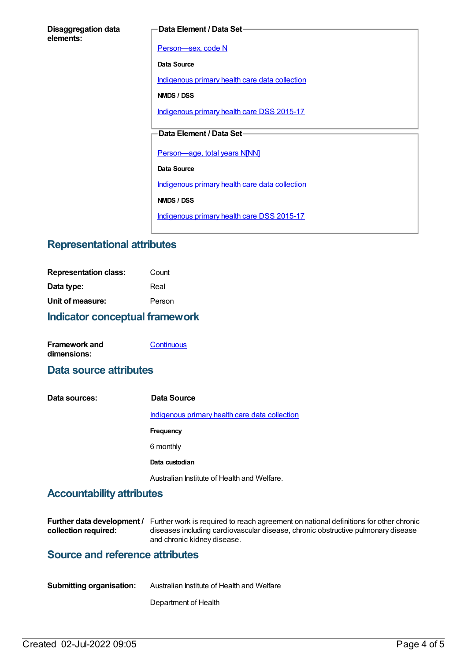#### **Data Element / Data Set**

[Person—sex,](https://meteor.aihw.gov.au/content/287316) code N

**Data Source**

[Indigenous](https://meteor.aihw.gov.au/content/430643) primary health care data collection

**NMDS / DSS**

[Indigenous](https://meteor.aihw.gov.au/content/585036) primary health care DSS 2015-17

## **Data Element / Data Set**

[Person—age,](https://meteor.aihw.gov.au/content/303794) total years N[NN]

**Data Source**

[Indigenous](https://meteor.aihw.gov.au/content/430643) primary health care data collection

**NMDS / DSS**

[Indigenous](https://meteor.aihw.gov.au/content/585036) primary health care DSS 2015-17

## **Representational attributes**

| <b>Indicator conceptual framework</b> |        |
|---------------------------------------|--------|
| Unit of measure:                      | Person |
| Data type:                            | Real   |
| <b>Representation class:</b>          | Count  |

| <b>Framework and</b> | Continuous |
|----------------------|------------|
| dimensions:          |            |

## **Data source attributes**

**Data sources: Data Source** [Indigenous](https://meteor.aihw.gov.au/content/430643) primary health care data collection **Frequency** 6 monthly **Data custodian** Australian Institute of Health and Welfare.

## **Accountability attributes**

|                      | <b>Further data development</b> / Further work is required to reach agreement on national definitions for other chronic |
|----------------------|-------------------------------------------------------------------------------------------------------------------------|
| collection required: | diseases including cardiovascular disease, chronic obstructive pulmonary disease                                        |
|                      | and chronic kidney disease.                                                                                             |

## **Source and reference attributes**

| <b>Submitting organisation:</b> | Australian Institute of Health and Welfare |
|---------------------------------|--------------------------------------------|
|                                 |                                            |

Department of Health